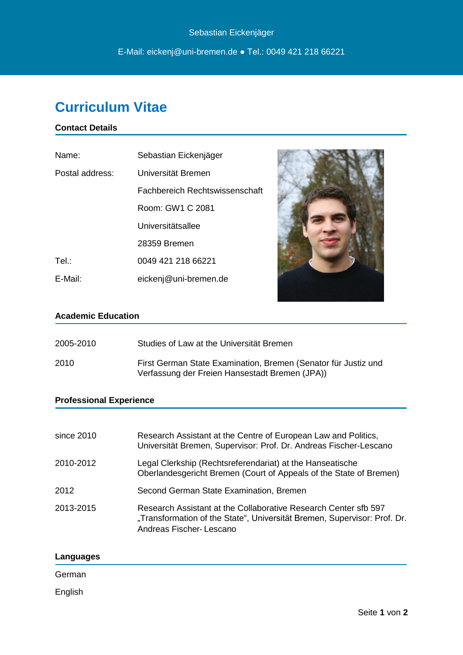# **Curriculum Vitae**

## **Contact Details**

| Name:           | Sebastian Eickenjäger          |
|-----------------|--------------------------------|
| Postal address: | Universität Bremen             |
|                 | Fachbereich Rechtswissenschaft |
|                 | Room: GW1 C 2081               |
|                 | Universitätsallee              |
|                 | 28359 Bremen                   |
| Tel.:           | 0049 421 218 66221             |
| E-Mail:         | eickenj@uni-bremen.de          |



## **Academic Education**

| 2005-2010 | Studies of Law at the Universität Bremen                                                                         |
|-----------|------------------------------------------------------------------------------------------------------------------|
| 2010      | First German State Examination, Bremen (Senator für Justiz und<br>Verfassung der Freien Hansestadt Bremen (JPA)) |

## **Professional Experience**

| since 2010 | Research Assistant at the Centre of European Law and Politics,<br>Universität Bremen, Supervisor: Prof. Dr. Andreas Fischer-Lescano                                    |
|------------|------------------------------------------------------------------------------------------------------------------------------------------------------------------------|
| 2010-2012  | Legal Clerkship (Rechtsreferendariat) at the Hanseatische<br>Oberlandesgericht Bremen (Court of Appeals of the State of Bremen)                                        |
| 2012       | Second German State Examination, Bremen                                                                                                                                |
| 2013-2015  | Research Assistant at the Collaborative Research Center sfb 597<br>"Transformation of the State", Universität Bremen, Supervisor: Prof. Dr.<br>Andreas Fischer-Lescano |

## **Languages**

## German

English